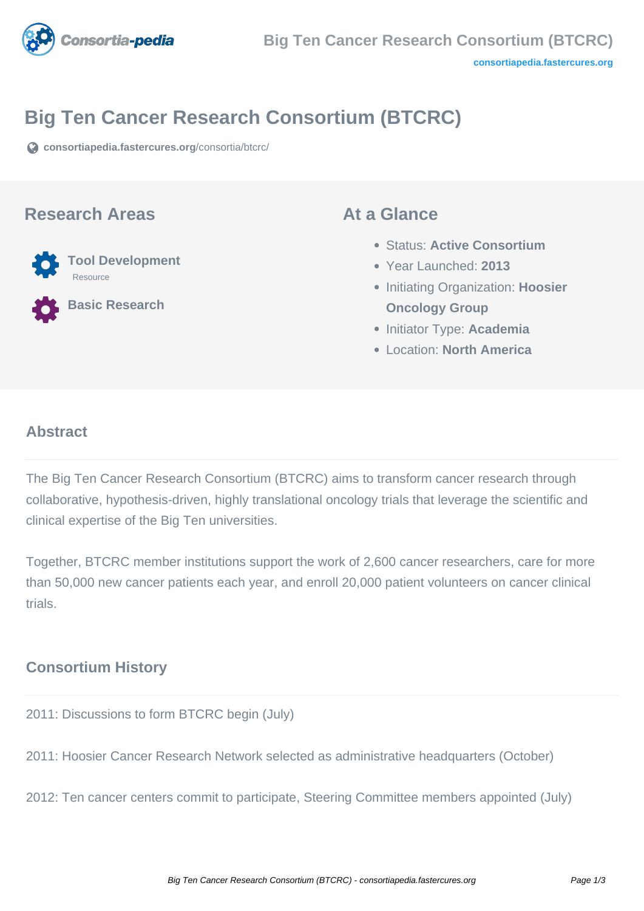

# **Big Ten Cancer Research Consortium (BTCRC)**

**[consortiapedia.fastercures.org](https://consortiapedia.fastercures.org/consortia/btcrc/)**[/consortia/btcrc/](https://consortiapedia.fastercures.org/consortia/btcrc/)

#### **Research Areas**



**Basic Research**

### **At a Glance**

- Status: **Active Consortium**
- Year Launched: **2013**
- **Initiating Organization: Hoosier Oncology Group**
- Initiator Type: **Academia**
- Location: **North America**

#### $\overline{a}$ **Abstract**

The Big Ten Cancer Research Consortium (BTCRC) aims to transform cancer research through collaborative, hypothesis-driven, highly translational oncology trials that leverage the scientific and clinical expertise of the Big Ten universities.

Together, BTCRC member institutions support the work of 2,600 cancer researchers, care for more than 50,000 new cancer patients each year, and enroll 20,000 patient volunteers on cancer clinical trials.

# **Consortium History**

2011: Discussions to form BTCRC begin (July)

2011: Hoosier Cancer Research Network selected as administrative headquarters (October)

2012: Ten cancer centers commit to participate, Steering Committee members appointed (July)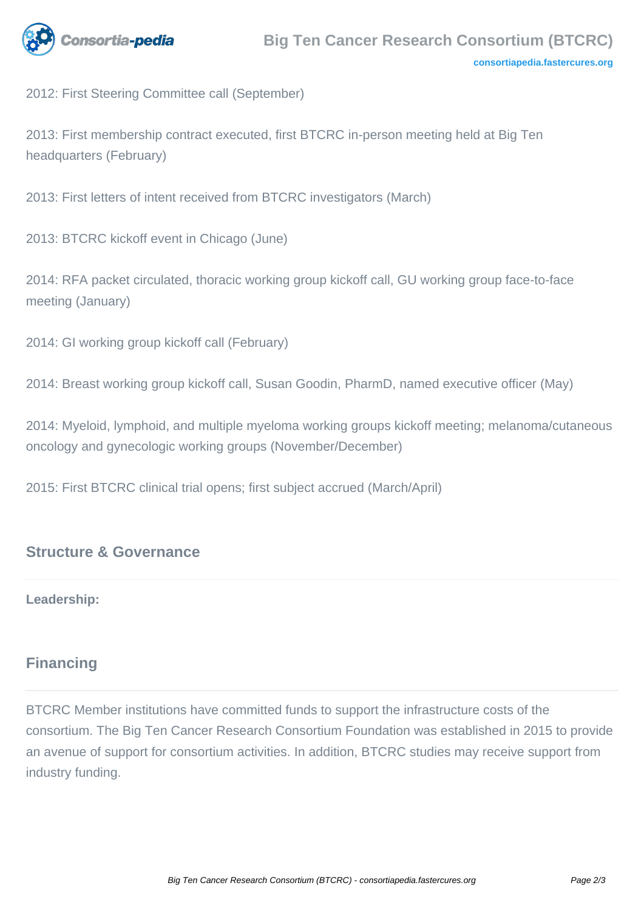

2012: First Steering Committee call (September)

2013: First membership contract executed, first BTCRC in-person meeting held at Big Ten headquarters (February)

2013: First letters of intent received from BTCRC investigators (March)

2013: BTCRC kickoff event in Chicago (June)

2014: RFA packet circulated, thoracic working group kickoff call, GU working group face-to-face meeting (January)

2014: GI working group kickoff call (February)

2014: Breast working group kickoff call, Susan Goodin, PharmD, named executive officer (May)

2014: Myeloid, lymphoid, and multiple myeloma working groups kickoff meeting; melanoma/cutaneous oncology and gynecologic working groups (November/December)

2015: First BTCRC clinical trial opens; first subject accrued (March/April)

## **Structure & Governance**

#### **Leadership:**

## **Financing**

BTCRC Member institutions have committed funds to support the infrastructure costs of the consortium. The Big Ten Cancer Research Consortium Foundation was established in 2015 to provide an avenue of support for consortium activities. In addition, BTCRC studies may receive support from industry funding.